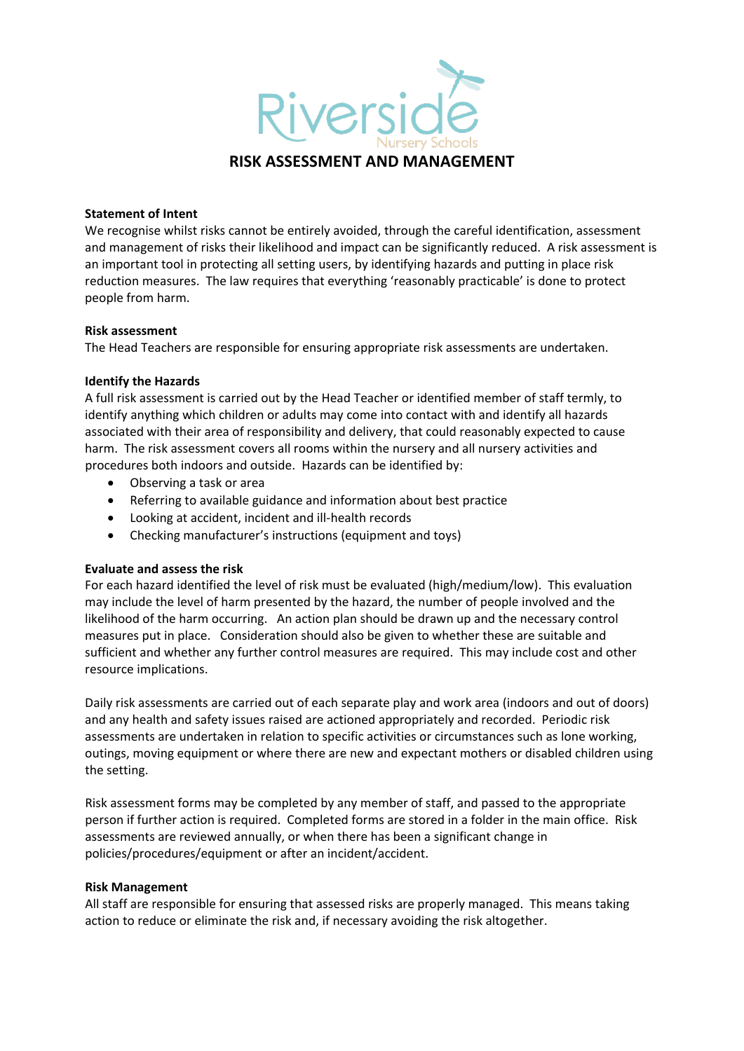

### **Statement of Intent**

We recognise whilst risks cannot be entirely avoided, through the careful identification, assessment and management of risks their likelihood and impact can be significantly reduced. A risk assessment is an important tool in protecting all setting users, by identifying hazards and putting in place risk reduction measures. The law requires that everything 'reasonably practicable' is done to protect people from harm.

#### **Risk assessment**

The Head Teachers are responsible for ensuring appropriate risk assessments are undertaken.

### **Identify the Hazards**

A full risk assessment is carried out by the Head Teacher or identified member of staff termly, to identify anything which children or adults may come into contact with and identify all hazards associated with their area of responsibility and delivery, that could reasonably expected to cause harm. The risk assessment covers all rooms within the nursery and all nursery activities and procedures both indoors and outside. Hazards can be identified by:

- Observing a task or area
- Referring to available guidance and information about best practice
- Looking at accident, incident and ill-health records
- Checking manufacturer's instructions (equipment and toys)

# **Evaluate and assess the risk**

For each hazard identified the level of risk must be evaluated (high/medium/low). This evaluation may include the level of harm presented by the hazard, the number of people involved and the likelihood of the harm occurring. An action plan should be drawn up and the necessary control measures put in place. Consideration should also be given to whether these are suitable and sufficient and whether any further control measures are required. This may include cost and other resource implications.

Daily risk assessments are carried out of each separate play and work area (indoors and out of doors) and any health and safety issues raised are actioned appropriately and recorded. Periodic risk assessments are undertaken in relation to specific activities or circumstances such as lone working, outings, moving equipment or where there are new and expectant mothers or disabled children using the setting.

Risk assessment forms may be completed by any member of staff, and passed to the appropriate person if further action is required. Completed forms are stored in a folder in the main office. Risk assessments are reviewed annually, or when there has been a significant change in policies/procedures/equipment or after an incident/accident.

# **Risk Management**

All staff are responsible for ensuring that assessed risks are properly managed. This means taking action to reduce or eliminate the risk and, if necessary avoiding the risk altogether.